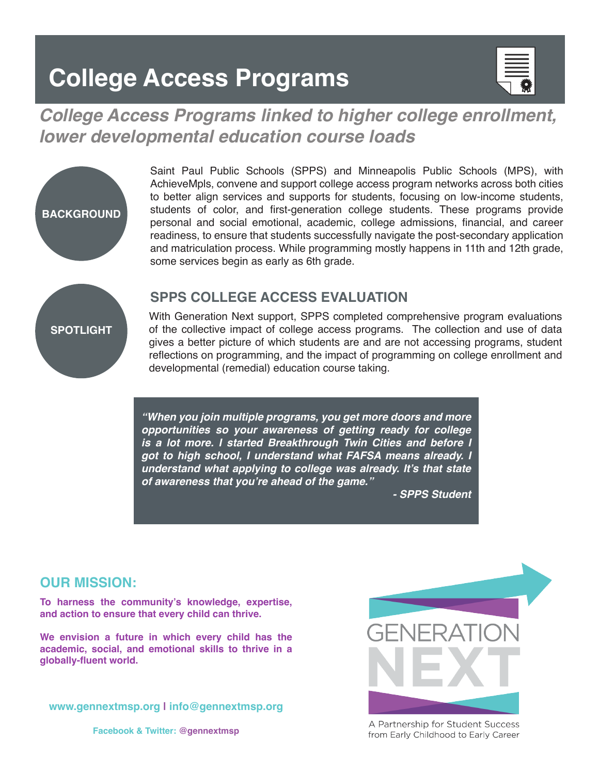## **College Access Programs**



### *College Access Programs linked to higher college enrollment, lower developmental education course loads*



Saint Paul Public Schools (SPPS) and Minneapolis Public Schools (MPS), with AchieveMpls, convene and support college access program networks across both cities to better align services and supports for students, focusing on low-income students, students of color, and first-generation college students. These programs provide personal and social emotional, academic, college admissions, financial, and career readiness, to ensure that students successfully navigate the post-secondary application and matriculation process. While programming mostly happens in 11th and 12th grade, some services begin as early as 6th grade.

#### **SPPS COLLEGE ACCESS EVALUATION**

With Generation Next support, SPPS completed comprehensive program evaluations of the collective impact of college access programs. The collection and use of data gives a better picture of which students are and are not accessing programs, student reflections on programming, and the impact of programming on college enrollment and developmental (remedial) education course taking.

*"When you join multiple programs, you get more doors and more opportunities so your awareness of getting ready for college is a lot more. I started Breakthrough Twin Cities and before I got to high school, I understand what FAFSA means already. I*  **understand what applying to college was already. It's that state of awareness that you're ahead of the game."**

 *- SPPS Student*

#### **OUR MISSION:**

**To harness the community's knowledge, expertise, and action to ensure that every child can thrive.** 

**We envision a future in which every child has the academic, social, and emotional skills to thrive in a globally-fluent world.**

**www.gennextmsp.org | info@gennextmsp.org**

**Facebook & Twitter: @gennextmsp**



A Partnership for Student Success from Early Childhood to Early Career